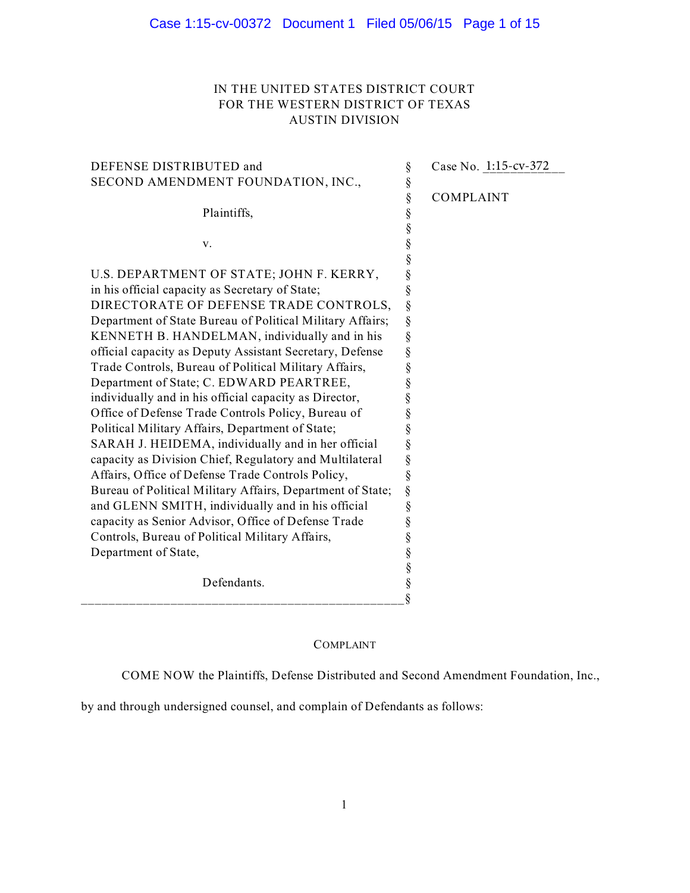# IN THE UNITED STATES DISTRICT COURT FOR THE WESTERN DISTRICT OF TEXAS AUSTIN DIVISION

| DEFENSE DISTRIBUTED and                                    | ş                              | Case No. 1:15-cv-372 |
|------------------------------------------------------------|--------------------------------|----------------------|
| SECOND AMENDMENT FOUNDATION, INC.,                         | $\S$                           |                      |
|                                                            | §                              | <b>COMPLAINT</b>     |
| Plaintiffs,                                                |                                |                      |
|                                                            |                                |                      |
| v.                                                         | §<br>§<br>§                    |                      |
|                                                            |                                |                      |
| U.S. DEPARTMENT OF STATE; JOHN F. KERRY,                   | §<br>§<br>§<br>§               |                      |
| in his official capacity as Secretary of State;            |                                |                      |
| DIRECTORATE OF DEFENSE TRADE CONTROLS,                     |                                |                      |
| Department of State Bureau of Political Military Affairs;  | §                              |                      |
| KENNETH B. HANDELMAN, individually and in his              | §                              |                      |
| official capacity as Deputy Assistant Secretary, Defense   | §                              |                      |
| Trade Controls, Bureau of Political Military Affairs,      | §                              |                      |
| Department of State; C. EDWARD PEARTREE,                   | §                              |                      |
| individually and in his official capacity as Director,     | §                              |                      |
| Office of Defense Trade Controls Policy, Bureau of         | §                              |                      |
| Political Military Affairs, Department of State;           | §                              |                      |
| SARAH J. HEIDEMA, individually and in her official         |                                |                      |
| capacity as Division Chief, Regulatory and Multilateral    | §<br>§                         |                      |
| Affairs, Office of Defense Trade Controls Policy,          | §                              |                      |
| Bureau of Political Military Affairs, Department of State; | $\S$                           |                      |
| and GLENN SMITH, individually and in his official          | §                              |                      |
| capacity as Senior Advisor, Office of Defense Trade        | §                              |                      |
| Controls, Bureau of Political Military Affairs,            | §                              |                      |
| Department of State,                                       |                                |                      |
|                                                            |                                |                      |
| Defendants.                                                |                                |                      |
|                                                            | $\frac{8}{8}$<br>$\frac{8}{8}$ |                      |

# COMPLAINT

COME NOW the Plaintiffs, Defense Distributed and Second Amendment Foundation, Inc.,

by and through undersigned counsel, and complain of Defendants as follows: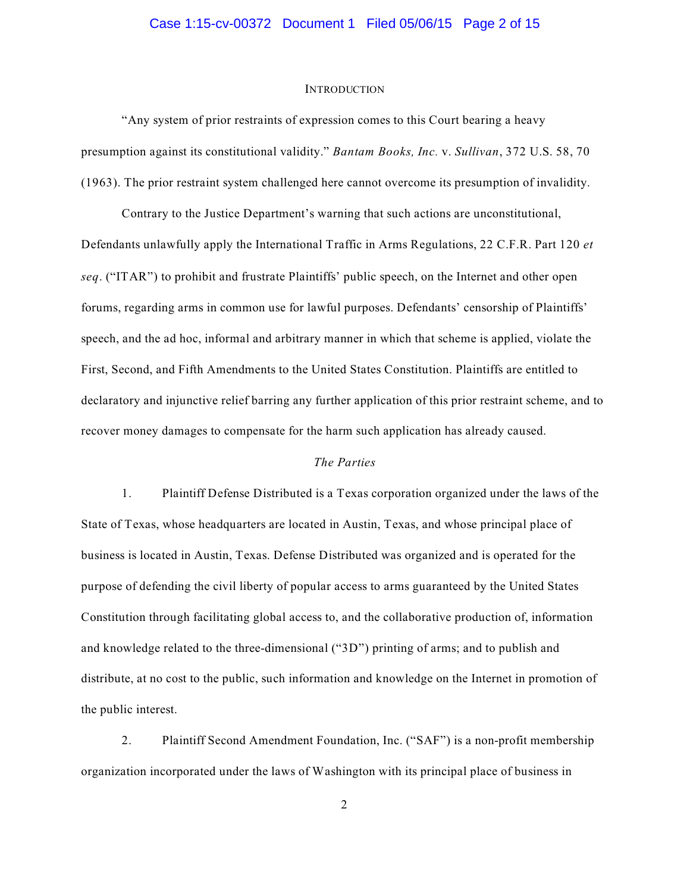#### **INTRODUCTION**

"Any system of prior restraints of expression comes to this Court bearing a heavy presumption against its constitutional validity." *Bantam Books, Inc.* v. *Sullivan*, 372 U.S. 58, 70 (1963). The prior restraint system challenged here cannot overcome its presumption of invalidity.

Contrary to the Justice Department's warning that such actions are unconstitutional, Defendants unlawfully apply the International Traffic in Arms Regulations, 22 C.F.R. Part 120 *et seq*. ("ITAR") to prohibit and frustrate Plaintiffs' public speech, on the Internet and other open forums, regarding arms in common use for lawful purposes. Defendants' censorship of Plaintiffs' speech, and the ad hoc, informal and arbitrary manner in which that scheme is applied, violate the First, Second, and Fifth Amendments to the United States Constitution. Plaintiffs are entitled to declaratory and injunctive relief barring any further application of this prior restraint scheme, and to recover money damages to compensate for the harm such application has already caused.

### *The Parties*

1. Plaintiff Defense Distributed is a Texas corporation organized under the laws of the State of Texas, whose headquarters are located in Austin, Texas, and whose principal place of business is located in Austin, Texas. Defense Distributed was organized and is operated for the purpose of defending the civil liberty of popular access to arms guaranteed by the United States Constitution through facilitating global access to, and the collaborative production of, information and knowledge related to the three-dimensional ("3D") printing of arms; and to publish and distribute, at no cost to the public, such information and knowledge on the Internet in promotion of the public interest.

2. Plaintiff Second Amendment Foundation, Inc. ("SAF") is a non-profit membership organization incorporated under the laws of Washington with its principal place of business in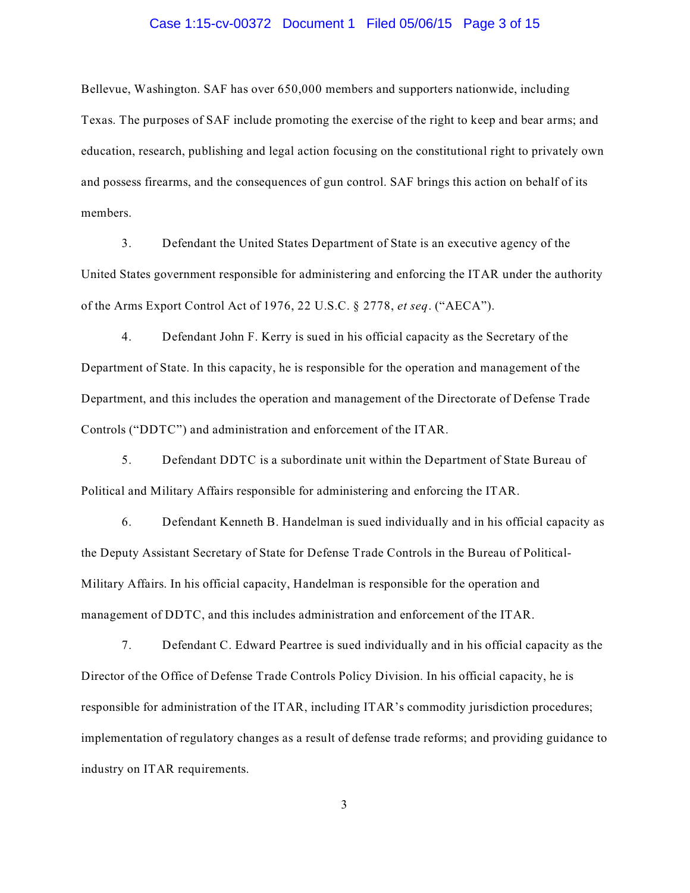# Case 1:15-cv-00372 Document 1 Filed 05/06/15 Page 3 of 15

Bellevue, Washington. SAF has over 650,000 members and supporters nationwide, including Texas. The purposes of SAF include promoting the exercise of the right to keep and bear arms; and education, research, publishing and legal action focusing on the constitutional right to privately own and possess firearms, and the consequences of gun control. SAF brings this action on behalf of its members.

3. Defendant the United States Department of State is an executive agency of the United States government responsible for administering and enforcing the ITAR under the authority of the Arms Export Control Act of 1976, 22 U.S.C. § 2778, *et seq*. ("AECA").

4. Defendant John F. Kerry is sued in his official capacity as the Secretary of the Department of State. In this capacity, he is responsible for the operation and management of the Department, and this includes the operation and management of the Directorate of Defense Trade Controls ("DDTC") and administration and enforcement of the ITAR.

5. Defendant DDTC is a subordinate unit within the Department of State Bureau of Political and Military Affairs responsible for administering and enforcing the ITAR.

6. Defendant Kenneth B. Handelman is sued individually and in his official capacity as the Deputy Assistant Secretary of State for Defense Trade Controls in the Bureau of Political-Military Affairs. In his official capacity, Handelman is responsible for the operation and management of DDTC, and this includes administration and enforcement of the ITAR.

7. Defendant C. Edward Peartree is sued individually and in his official capacity as the Director of the Office of Defense Trade Controls Policy Division. In his official capacity, he is responsible for administration of the ITAR, including ITAR's commodity jurisdiction procedures; implementation of regulatory changes as a result of defense trade reforms; and providing guidance to industry on ITAR requirements.

3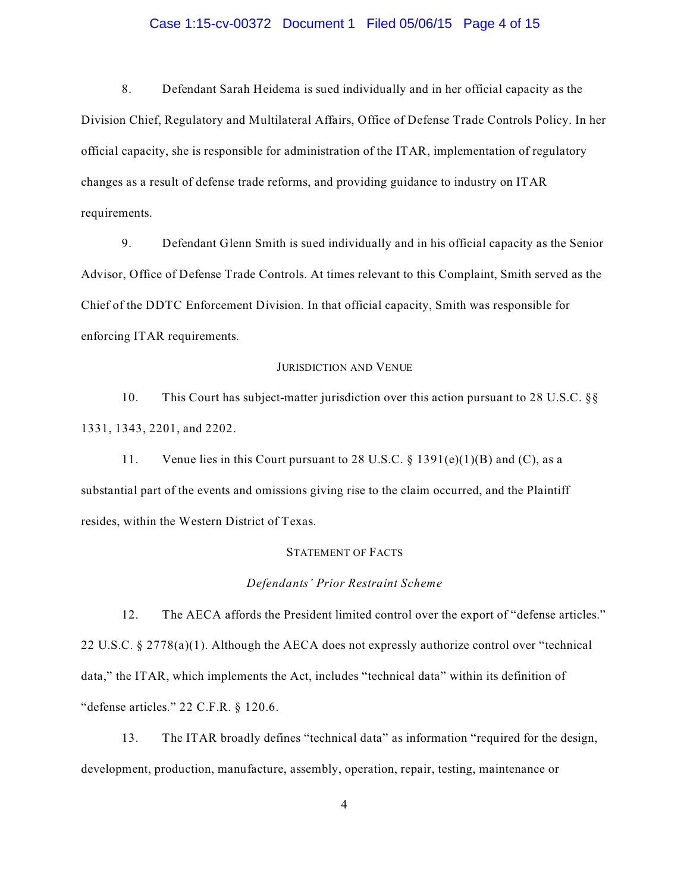# Case 1:15-cv-00372 Document 1 Filed 05/06/15 Page 4 of 15

8. Defendant Sarah Heidema is sued individually and in her official capacity as the Division Chief, Regulatory and Multilateral Affairs, Office of Defense Trade Controls Policy. In her official capacity, she is responsible for administration of the ITAR, implementation of regulatory changes as a result of defense trade reforms, and providing guidance to industry on ITAR requirements.

9. Defendant Glenn Smith is sued individually and in his official capacity as the Senior Advisor, Office of Defense Trade Controls. At times relevant to this Complaint, Smith served as the Chief of the DDTC Enforcement Division. In that official capacity, Smith was responsible for enforcing ITAR requirements.

### JURISDICTION AND VENUE

10. This Court has subject-matter jurisdiction over this action pursuant to 28 U.S.C. §§ 1331, 1343, 2201, and 2202.

11. Venue lies in this Court pursuant to 28 U.S.C.  $\S$  1391(e)(1)(B) and (C), as a substantial part of the events and omissions giving rise to the claim occurred, and the Plaintiff resides, within the Western District of Texas.

# STATEMENT OF FACTS

# *Defendants' Prior Restraint Scheme*

12. The AECA affords the President limited control over the export of "defense articles." 22 U.S.C. § 2778(a)(1). Although the AECA does not expressly authorize control over "technical data," the ITAR, which implements the Act, includes "technical data" within its definition of "defense articles." 22 C.F.R. § 120.6.

13. The ITAR broadly defines "technical data" as information "required for the design, development, production, manufacture, assembly, operation, repair, testing, maintenance or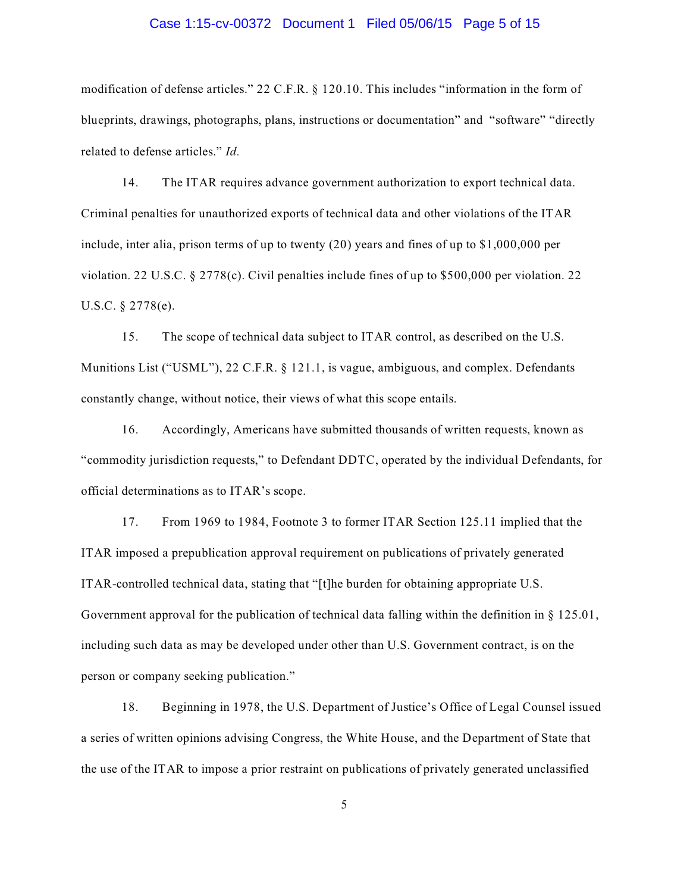# Case 1:15-cv-00372 Document 1 Filed 05/06/15 Page 5 of 15

modification of defense articles." 22 C.F.R. § 120.10. This includes "information in the form of blueprints, drawings, photographs, plans, instructions or documentation" and "software" "directly related to defense articles." *Id.*

14. The ITAR requires advance government authorization to export technical data. Criminal penalties for unauthorized exports of technical data and other violations of the ITAR include, inter alia, prison terms of up to twenty (20) years and fines of up to \$1,000,000 per violation. 22 U.S.C. § 2778(c). Civil penalties include fines of up to \$500,000 per violation. 22 U.S.C. § 2778(e).

15. The scope of technical data subject to ITAR control, as described on the U.S. Munitions List ("USML"), 22 C.F.R. § 121.1, is vague, ambiguous, and complex. Defendants constantly change, without notice, their views of what this scope entails.

16. Accordingly, Americans have submitted thousands of written requests, known as "commodity jurisdiction requests," to Defendant DDTC, operated by the individual Defendants, for official determinations as to ITAR's scope.

17. From 1969 to 1984, Footnote 3 to former ITAR Section 125.11 implied that the ITAR imposed a prepublication approval requirement on publications of privately generated ITAR-controlled technical data, stating that "[t]he burden for obtaining appropriate U.S. Government approval for the publication of technical data falling within the definition in § 125.01, including such data as may be developed under other than U.S. Government contract, is on the person or company seeking publication."

18. Beginning in 1978, the U.S. Department of Justice's Office of Legal Counsel issued a series of written opinions advising Congress, the White House, and the Department of State that the use of the ITAR to impose a prior restraint on publications of privately generated unclassified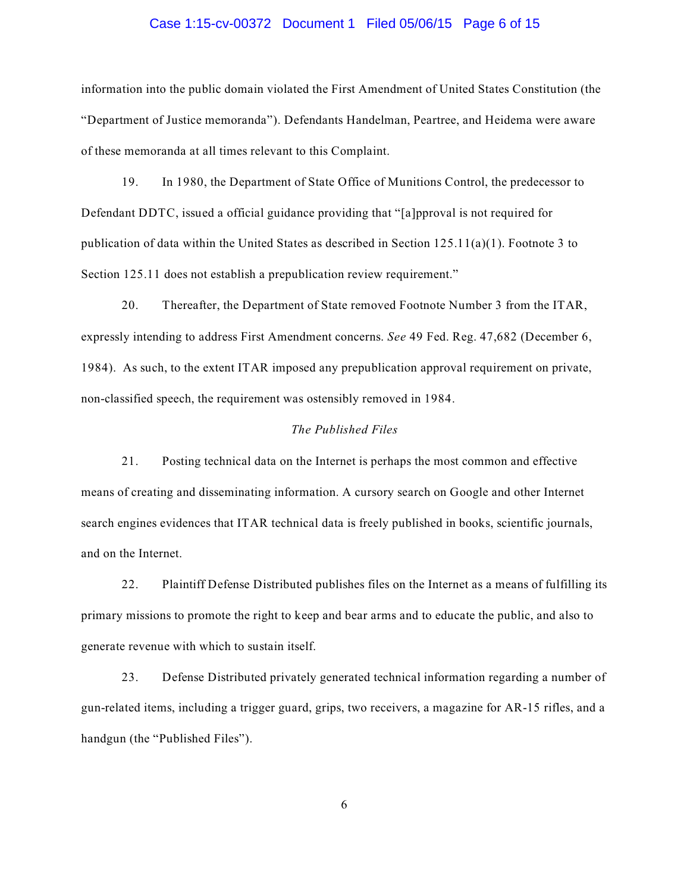# Case 1:15-cv-00372 Document 1 Filed 05/06/15 Page 6 of 15

information into the public domain violated the First Amendment of United States Constitution (the "Department of Justice memoranda"). Defendants Handelman, Peartree, and Heidema were aware of these memoranda at all times relevant to this Complaint.

19. In 1980, the Department of State Office of Munitions Control, the predecessor to Defendant DDTC, issued a official guidance providing that "[a]pproval is not required for publication of data within the United States as described in Section  $125.11(a)(1)$ . Footnote 3 to Section 125.11 does not establish a prepublication review requirement."

20. Thereafter, the Department of State removed Footnote Number 3 from the ITAR, expressly intending to address First Amendment concerns. *See* 49 Fed. Reg. 47,682 (December 6, 1984). As such, to the extent ITAR imposed any prepublication approval requirement on private, non-classified speech, the requirement was ostensibly removed in 1984.

# *The Published Files*

21. Posting technical data on the Internet is perhaps the most common and effective means of creating and disseminating information. A cursory search on Google and other Internet search engines evidences that ITAR technical data is freely published in books, scientific journals, and on the Internet.

22. Plaintiff Defense Distributed publishes files on the Internet as a means of fulfilling its primary missions to promote the right to keep and bear arms and to educate the public, and also to generate revenue with which to sustain itself.

23. Defense Distributed privately generated technical information regarding a number of gun-related items, including a trigger guard, grips, two receivers, a magazine for AR-15 rifles, and a handgun (the "Published Files").

6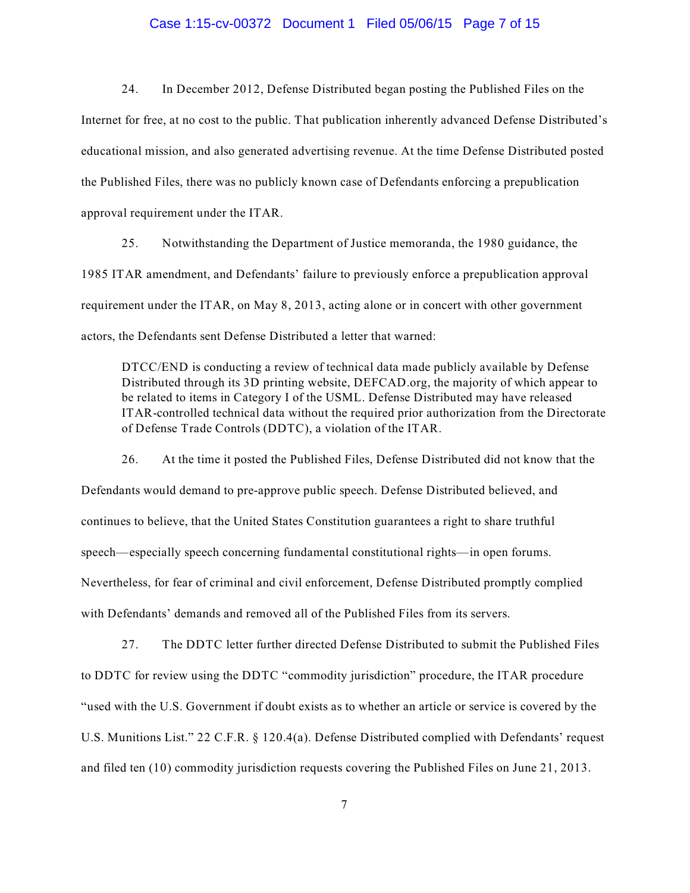# Case 1:15-cv-00372 Document 1 Filed 05/06/15 Page 7 of 15

24. In December 2012, Defense Distributed began posting the Published Files on the Internet for free, at no cost to the public. That publication inherently advanced Defense Distributed's educational mission, and also generated advertising revenue. At the time Defense Distributed posted the Published Files, there was no publicly known case of Defendants enforcing a prepublication approval requirement under the ITAR.

25. Notwithstanding the Department of Justice memoranda, the 1980 guidance, the 1985 ITAR amendment, and Defendants' failure to previously enforce a prepublication approval requirement under the ITAR, on May 8, 2013, acting alone or in concert with other government actors, the Defendants sent Defense Distributed a letter that warned:

DTCC/END is conducting a review of technical data made publicly available by Defense Distributed through its 3D printing website, DEFCAD.org, the majority of which appear to be related to items in Category I of the USML. Defense Distributed may have released ITAR-controlled technical data without the required prior authorization from the Directorate of Defense Trade Controls (DDTC), a violation of the ITAR.

26. At the time it posted the Published Files, Defense Distributed did not know that the Defendants would demand to pre-approve public speech. Defense Distributed believed, and continues to believe, that the United States Constitution guarantees a right to share truthful speech—especially speech concerning fundamental constitutional rights—in open forums. Nevertheless, for fear of criminal and civil enforcement, Defense Distributed promptly complied with Defendants' demands and removed all of the Published Files from its servers.

27. The DDTC letter further directed Defense Distributed to submit the Published Files to DDTC for review using the DDTC "commodity jurisdiction" procedure, the ITAR procedure "used with the U.S. Government if doubt exists as to whether an article or service is covered by the U.S. Munitions List." 22 C.F.R. § 120.4(a). Defense Distributed complied with Defendants' request and filed ten (10) commodity jurisdiction requests covering the Published Files on June 21, 2013.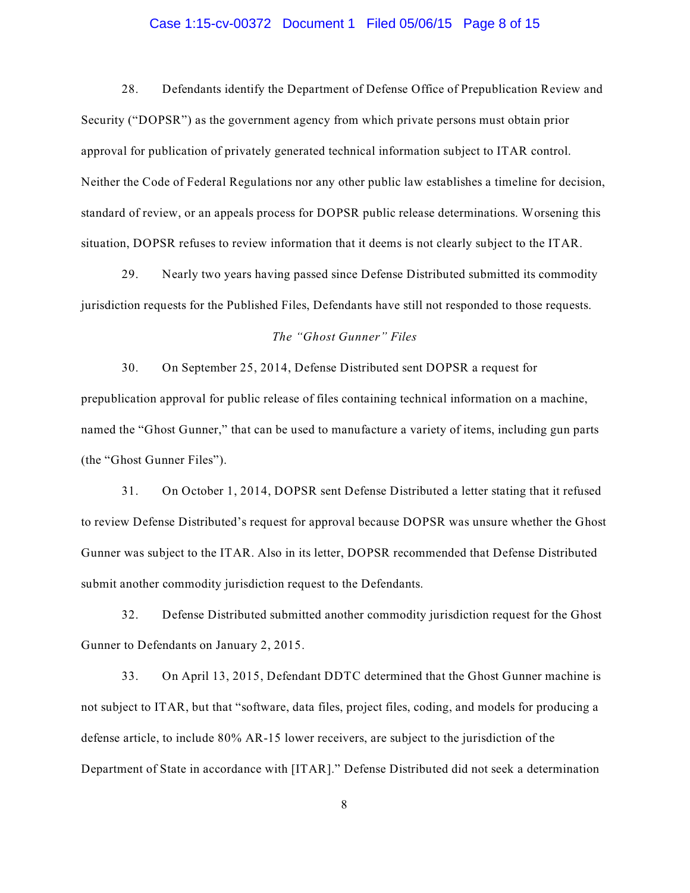# Case 1:15-cv-00372 Document 1 Filed 05/06/15 Page 8 of 15

28. Defendants identify the Department of Defense Office of Prepublication Review and Security ("DOPSR") as the government agency from which private persons must obtain prior approval for publication of privately generated technical information subject to ITAR control. Neither the Code of Federal Regulations nor any other public law establishes a timeline for decision, standard of review, or an appeals process for DOPSR public release determinations. Worsening this situation, DOPSR refuses to review information that it deems is not clearly subject to the ITAR.

29. Nearly two years having passed since Defense Distributed submitted its commodity jurisdiction requests for the Published Files, Defendants have still not responded to those requests.

# *The "Ghost Gunner" Files*

30. On September 25, 2014, Defense Distributed sent DOPSR a request for prepublication approval for public release of files containing technical information on a machine, named the "Ghost Gunner," that can be used to manufacture a variety of items, including gun parts (the "Ghost Gunner Files").

31. On October 1, 2014, DOPSR sent Defense Distributed a letter stating that it refused to review Defense Distributed's request for approval because DOPSR was unsure whether the Ghost Gunner was subject to the ITAR. Also in its letter, DOPSR recommended that Defense Distributed submit another commodity jurisdiction request to the Defendants.

32. Defense Distributed submitted another commodity jurisdiction request for the Ghost Gunner to Defendants on January 2, 2015.

33. On April 13, 2015, Defendant DDTC determined that the Ghost Gunner machine is not subject to ITAR, but that "software, data files, project files, coding, and models for producing a defense article, to include 80% AR-15 lower receivers, are subject to the jurisdiction of the Department of State in accordance with [ITAR]." Defense Distributed did not seek a determination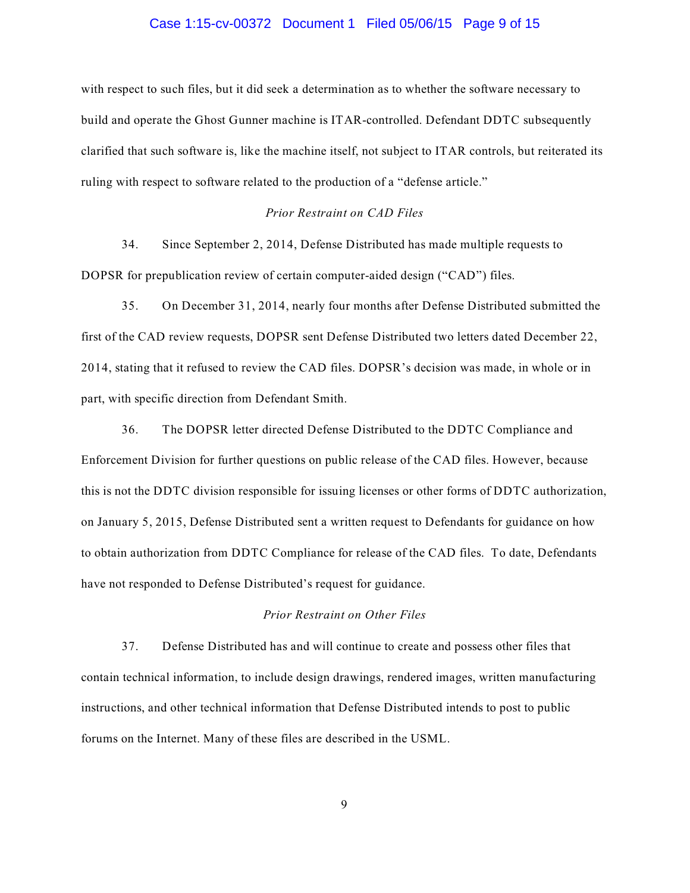# Case 1:15-cv-00372 Document 1 Filed 05/06/15 Page 9 of 15

with respect to such files, but it did seek a determination as to whether the software necessary to build and operate the Ghost Gunner machine is ITAR-controlled. Defendant DDTC subsequently clarified that such software is, like the machine itself, not subject to ITAR controls, but reiterated its ruling with respect to software related to the production of a "defense article."

# *Prior Restraint on CAD Files*

34. Since September 2, 2014, Defense Distributed has made multiple requests to DOPSR for prepublication review of certain computer-aided design ("CAD") files.

35. On December 31, 2014, nearly four months after Defense Distributed submitted the first of the CAD review requests, DOPSR sent Defense Distributed two letters dated December 22, 2014, stating that it refused to review the CAD files. DOPSR's decision was made, in whole or in part, with specific direction from Defendant Smith.

36. The DOPSR letter directed Defense Distributed to the DDTC Compliance and Enforcement Division for further questions on public release of the CAD files. However, because this is not the DDTC division responsible for issuing licenses or other forms of DDTC authorization, on January 5, 2015, Defense Distributed sent a written request to Defendants for guidance on how to obtain authorization from DDTC Compliance for release of the CAD files. To date, Defendants have not responded to Defense Distributed's request for guidance.

# *Prior Restraint on Other Files*

37. Defense Distributed has and will continue to create and possess other files that contain technical information, to include design drawings, rendered images, written manufacturing instructions, and other technical information that Defense Distributed intends to post to public forums on the Internet. Many of these files are described in the USML.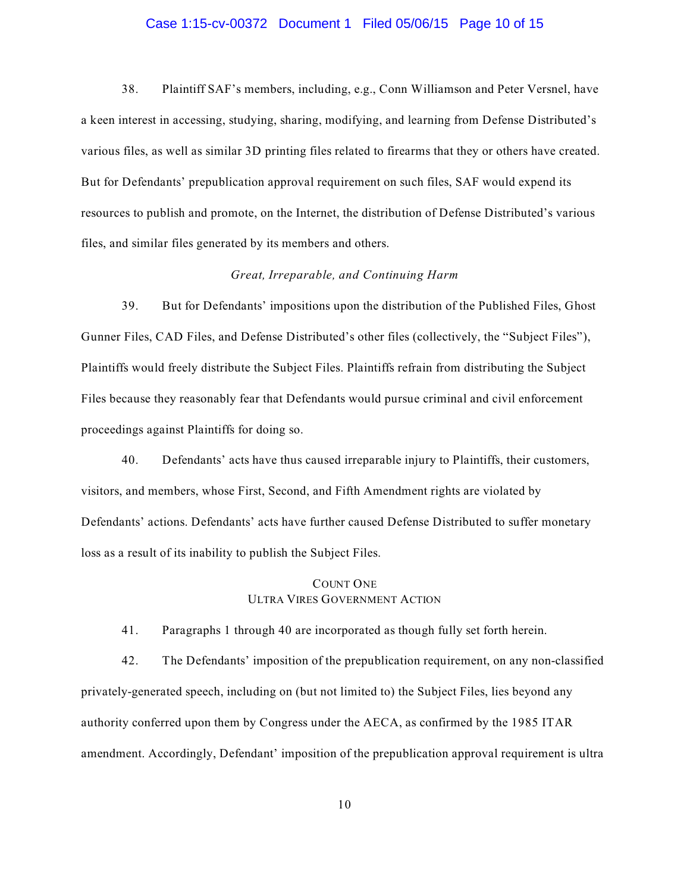#### Case 1:15-cv-00372 Document 1 Filed 05/06/15 Page 10 of 15

38. Plaintiff SAF's members, including, e.g., Conn Williamson and Peter Versnel, have a keen interest in accessing, studying, sharing, modifying, and learning from Defense Distributed's various files, as well as similar 3D printing files related to firearms that they or others have created. But for Defendants' prepublication approval requirement on such files, SAF would expend its resources to publish and promote, on the Internet, the distribution of Defense Distributed's various files, and similar files generated by its members and others.

# *Great, Irreparable, and Continuing Harm*

39. But for Defendants' impositions upon the distribution of the Published Files, Ghost Gunner Files, CAD Files, and Defense Distributed's other files (collectively, the "Subject Files"), Plaintiffs would freely distribute the Subject Files. Plaintiffs refrain from distributing the Subject Files because they reasonably fear that Defendants would pursue criminal and civil enforcement proceedings against Plaintiffs for doing so.

40. Defendants' acts have thus caused irreparable injury to Plaintiffs, their customers, visitors, and members, whose First, Second, and Fifth Amendment rights are violated by Defendants' actions. Defendants' acts have further caused Defense Distributed to suffer monetary loss as a result of its inability to publish the Subject Files.

# COUNT ONE ULTRA VIRES GOVERNMENT ACTION

41. Paragraphs 1 through 40 are incorporated as though fully set forth herein.

42. The Defendants' imposition of the prepublication requirement, on any non-classified privately-generated speech, including on (but not limited to) the Subject Files, lies beyond any authority conferred upon them by Congress under the AECA, as confirmed by the 1985 ITAR amendment. Accordingly, Defendant' imposition of the prepublication approval requirement is ultra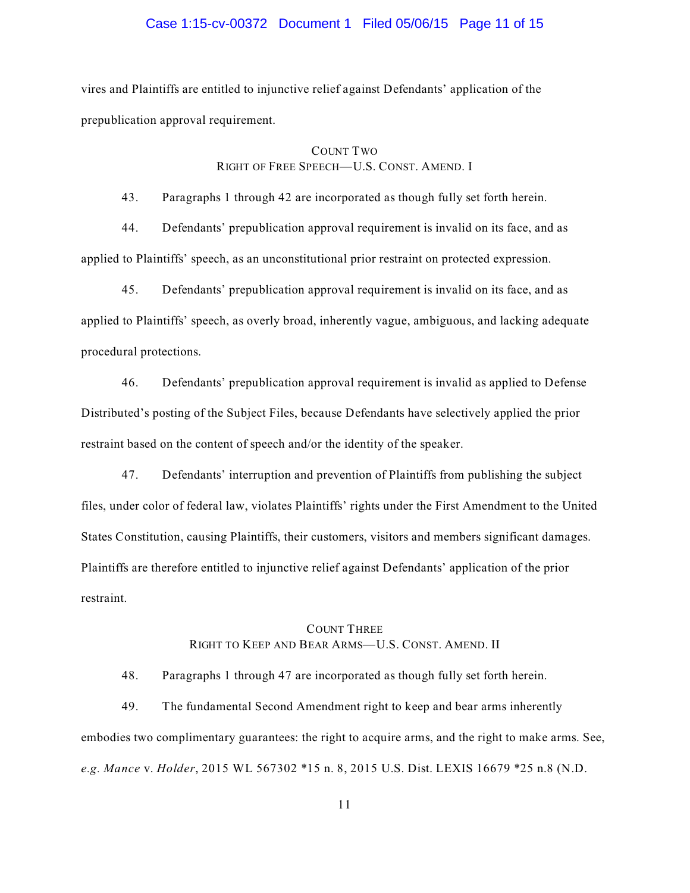# Case 1:15-cv-00372 Document 1 Filed 05/06/15 Page 11 of 15

vires and Plaintiffs are entitled to injunctive relief against Defendants' application of the prepublication approval requirement.

# COUNT TWO

# RIGHT OF FREE SPEECH—U.S. CONST. AMEND. I

43. Paragraphs 1 through 42 are incorporated as though fully set forth herein.

44. Defendants' prepublication approval requirement is invalid on its face, and as applied to Plaintiffs' speech, as an unconstitutional prior restraint on protected expression.

45. Defendants' prepublication approval requirement is invalid on its face, and as applied to Plaintiffs' speech, as overly broad, inherently vague, ambiguous, and lacking adequate procedural protections.

46. Defendants' prepublication approval requirement is invalid as applied to Defense Distributed's posting of the Subject Files, because Defendants have selectively applied the prior restraint based on the content of speech and/or the identity of the speaker.

47. Defendants' interruption and prevention of Plaintiffs from publishing the subject files, under color of federal law, violates Plaintiffs' rights under the First Amendment to the United States Constitution, causing Plaintiffs, their customers, visitors and members significant damages. Plaintiffs are therefore entitled to injunctive relief against Defendants' application of the prior restraint.

# COUNT THREE RIGHT TO KEEP AND BEAR ARMS—U.S. CONST. AMEND. II

48. Paragraphs 1 through 47 are incorporated as though fully set forth herein.

49. The fundamental Second Amendment right to keep and bear arms inherently embodies two complimentary guarantees: the right to acquire arms, and the right to make arms. See, *e.g. Mance* v. *Holder*, 2015 WL 567302 \*15 n. 8, 2015 U.S. Dist. LEXIS 16679 \*25 n.8 (N.D.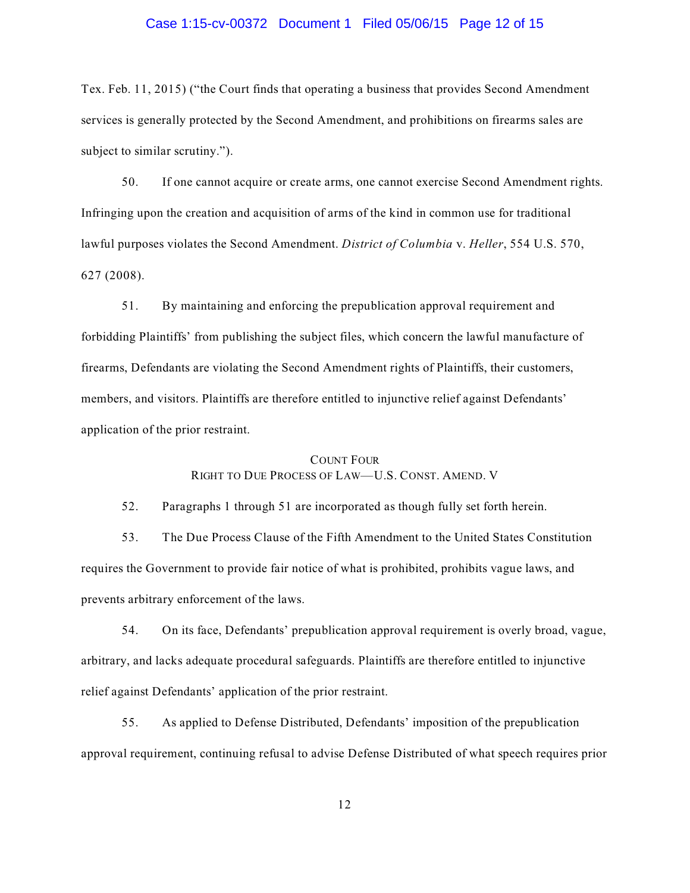#### Case 1:15-cv-00372 Document 1 Filed 05/06/15 Page 12 of 15

Tex. Feb. 11, 2015) ("the Court finds that operating a business that provides Second Amendment services is generally protected by the Second Amendment, and prohibitions on firearms sales are subject to similar scrutiny.").

50. If one cannot acquire or create arms, one cannot exercise Second Amendment rights. Infringing upon the creation and acquisition of arms of the kind in common use for traditional lawful purposes violates the Second Amendment. *District of Columbia* v. *Heller*, 554 U.S. 570, 627 (2008).

51. By maintaining and enforcing the prepublication approval requirement and forbidding Plaintiffs' from publishing the subject files, which concern the lawful manufacture of firearms, Defendants are violating the Second Amendment rights of Plaintiffs, their customers, members, and visitors. Plaintiffs are therefore entitled to injunctive relief against Defendants' application of the prior restraint.

#### COUNT FOUR

# RIGHT TO DUE PROCESS OF LAW—U.S. CONST. AMEND. V

52. Paragraphs 1 through 51 are incorporated as though fully set forth herein.

53. The Due Process Clause of the Fifth Amendment to the United States Constitution requires the Government to provide fair notice of what is prohibited, prohibits vague laws, and prevents arbitrary enforcement of the laws.

54. On its face, Defendants' prepublication approval requirement is overly broad, vague, arbitrary, and lacks adequate procedural safeguards. Plaintiffs are therefore entitled to injunctive relief against Defendants' application of the prior restraint.

55. As applied to Defense Distributed, Defendants' imposition of the prepublication approval requirement, continuing refusal to advise Defense Distributed of what speech requires prior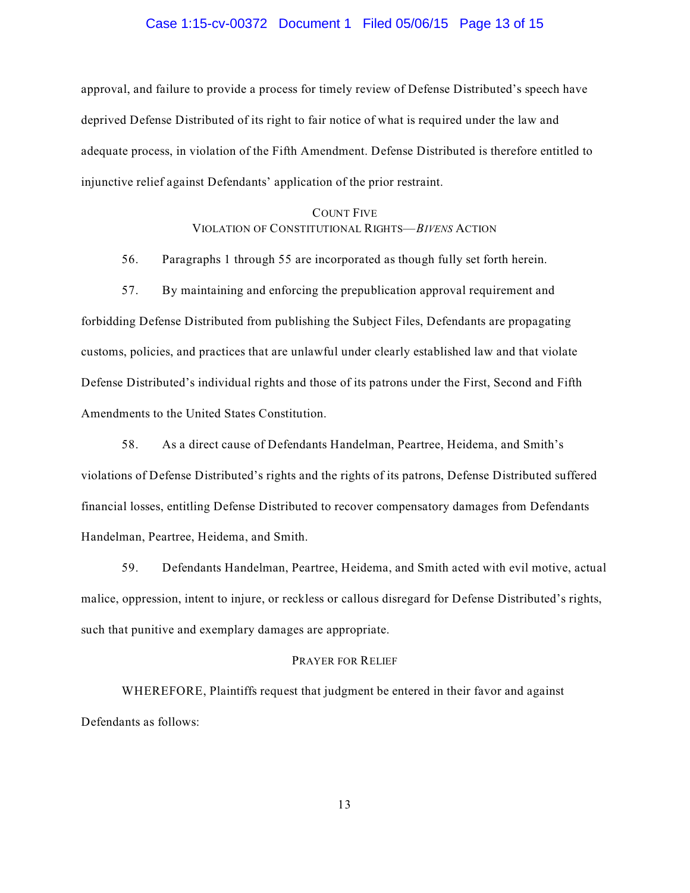### Case 1:15-cv-00372 Document 1 Filed 05/06/15 Page 13 of 15

approval, and failure to provide a process for timely review of Defense Distributed's speech have deprived Defense Distributed of its right to fair notice of what is required under the law and adequate process, in violation of the Fifth Amendment. Defense Distributed is therefore entitled to injunctive relief against Defendants' application of the prior restraint.

# COUNT FIVE VIOLATION OF CONSTITUTIONAL RIGHTS—*BIVENS* ACTION

56. Paragraphs 1 through 55 are incorporated as though fully set forth herein.

57. By maintaining and enforcing the prepublication approval requirement and

forbidding Defense Distributed from publishing the Subject Files, Defendants are propagating customs, policies, and practices that are unlawful under clearly established law and that violate Defense Distributed's individual rights and those of its patrons under the First, Second and Fifth Amendments to the United States Constitution.

58. As a direct cause of Defendants Handelman, Peartree, Heidema, and Smith's violations of Defense Distributed's rights and the rights of its patrons, Defense Distributed suffered financial losses, entitling Defense Distributed to recover compensatory damages from Defendants Handelman, Peartree, Heidema, and Smith.

59. Defendants Handelman, Peartree, Heidema, and Smith acted with evil motive, actual malice, oppression, intent to injure, or reckless or callous disregard for Defense Distributed's rights, such that punitive and exemplary damages are appropriate.

### PRAYER FOR RELIEF

WHEREFORE, Plaintiffs request that judgment be entered in their favor and against Defendants as follows: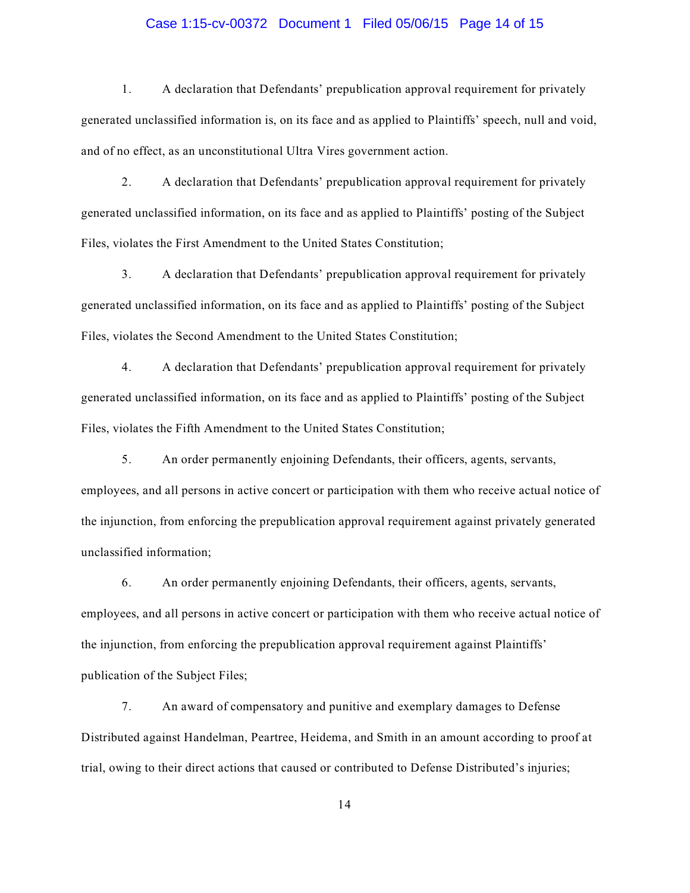# Case 1:15-cv-00372 Document 1 Filed 05/06/15 Page 14 of 15

1. A declaration that Defendants' prepublication approval requirement for privately generated unclassified information is, on its face and as applied to Plaintiffs' speech, null and void, and of no effect, as an unconstitutional Ultra Vires government action.

2. A declaration that Defendants' prepublication approval requirement for privately generated unclassified information, on its face and as applied to Plaintiffs' posting of the Subject Files, violates the First Amendment to the United States Constitution;

3. A declaration that Defendants' prepublication approval requirement for privately generated unclassified information, on its face and as applied to Plaintiffs' posting of the Subject Files, violates the Second Amendment to the United States Constitution;

4. A declaration that Defendants' prepublication approval requirement for privately generated unclassified information, on its face and as applied to Plaintiffs' posting of the Subject Files, violates the Fifth Amendment to the United States Constitution;

5. An order permanently enjoining Defendants, their officers, agents, servants, employees, and all persons in active concert or participation with them who receive actual notice of the injunction, from enforcing the prepublication approval requirement against privately generated unclassified information;

6. An order permanently enjoining Defendants, their officers, agents, servants, employees, and all persons in active concert or participation with them who receive actual notice of the injunction, from enforcing the prepublication approval requirement against Plaintiffs' publication of the Subject Files;

7. An award of compensatory and punitive and exemplary damages to Defense Distributed against Handelman, Peartree, Heidema, and Smith in an amount according to proof at trial, owing to their direct actions that caused or contributed to Defense Distributed's injuries;